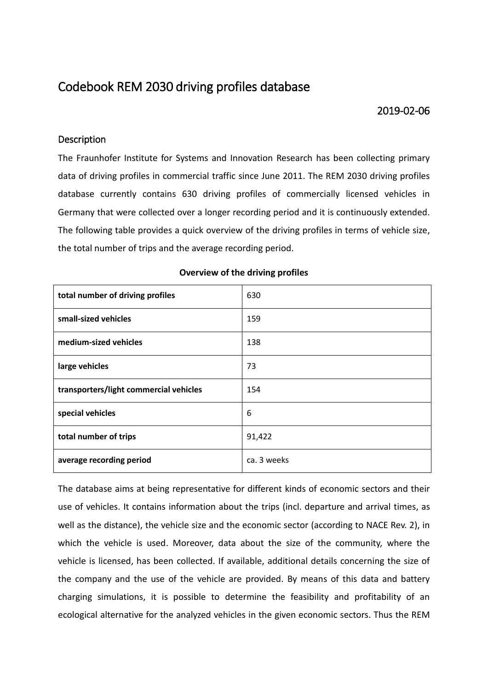# Codebook REM 2030 driving profiles database

### 2019-02-06

### **Description**

The Fraunhofer Institute for Systems and Innovation Research has been collecting primary data of driving profiles in commercial traffic since June 2011. The REM 2030 driving profiles database currently contains 630 driving profiles of commercially licensed vehicles in Germany that were collected over a longer recording period and it is continuously extended. The following table provides a quick overview of the driving profiles in terms of vehicle size, the total number of trips and the average recording period.

| total number of driving profiles       | 630         |
|----------------------------------------|-------------|
| small-sized vehicles                   | 159         |
| medium-sized vehicles                  | 138         |
| large vehicles                         | 73          |
| transporters/light commercial vehicles | 154         |
| special vehicles                       | 6           |
| total number of trips                  | 91,422      |
| average recording period               | ca. 3 weeks |

### **Overview of the driving profiles**

The database aims at being representative for different kinds of economic sectors and their use of vehicles. It contains information about the trips (incl. departure and arrival times, as well as the distance), the vehicle size and the economic sector (according to NACE Rev. 2), in which the vehicle is used. Moreover, data about the size of the community, where the vehicle is licensed, has been collected. If available, additional details concerning the size of the company and the use of the vehicle are provided. By means of this data and battery charging simulations, it is possible to determine the feasibility and profitability of an ecological alternative for the analyzed vehicles in the given economic sectors. Thus the REM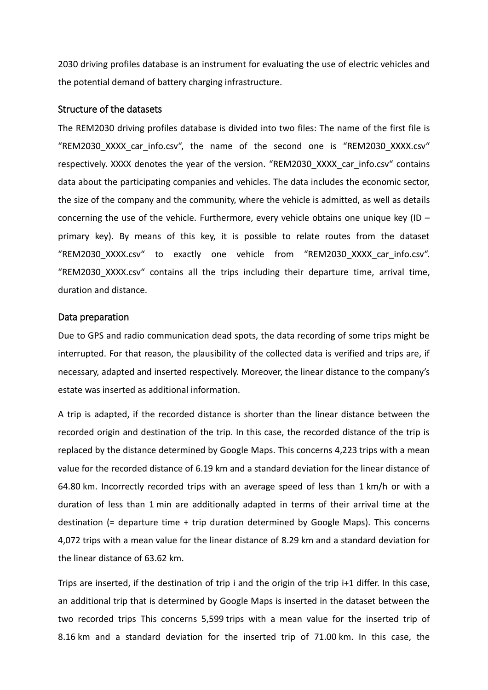2030 driving profiles database is an instrument for evaluating the use of electric vehicles and the potential demand of battery charging infrastructure.

#### Structure of the datasets

The REM2030 driving profiles database is divided into two files: The name of the first file is "REM2030\_XXXX\_car\_info.csv", the name of the second one is "REM2030\_XXXX.csv" respectively. XXXX denotes the year of the version. "REM2030 XXXX car info.csv" contains data about the participating companies and vehicles. The data includes the economic sector, the size of the company and the community, where the vehicle is admitted, as well as details concerning the use of the vehicle. Furthermore, every vehicle obtains one unique key (ID – primary key). By means of this key, it is possible to relate routes from the dataset "REM2030\_XXXX.csv" to exactly one vehicle from "REM2030\_XXXX\_car\_info.csv". "REM2030\_XXXX.csv" contains all the trips including their departure time, arrival time, duration and distance.

#### Data preparation

Due to GPS and radio communication dead spots, the data recording of some trips might be interrupted. For that reason, the plausibility of the collected data is verified and trips are, if necessary, adapted and inserted respectively. Moreover, the linear distance to the company's estate was inserted as additional information.

A trip is adapted, if the recorded distance is shorter than the linear distance between the recorded origin and destination of the trip. In this case, the recorded distance of the trip is replaced by the distance determined by Google Maps. This concerns 4,223 trips with a mean value for the recorded distance of 6.19 km and a standard deviation for the linear distance of 64.80 km. Incorrectly recorded trips with an average speed of less than 1 km/h or with a duration of less than 1 min are additionally adapted in terms of their arrival time at the destination (= departure time + trip duration determined by Google Maps). This concerns 4,072 trips with a mean value for the linear distance of 8.29 km and a standard deviation for the linear distance of 63.62 km.

Trips are inserted, if the destination of trip i and the origin of the trip i+1 differ. In this case, an additional trip that is determined by Google Maps is inserted in the dataset between the two recorded trips This concerns 5,599 trips with a mean value for the inserted trip of 8.16 km and a standard deviation for the inserted trip of 71.00 km. In this case, the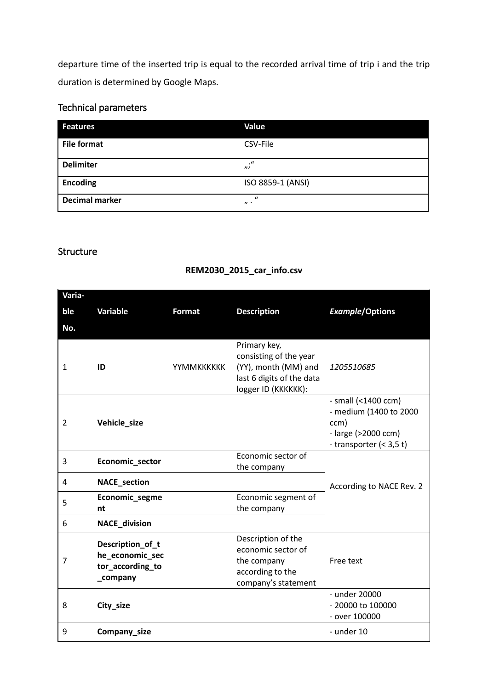departure time of the inserted trip is equal to the recorded arrival time of trip i and the trip duration is determined by Google Maps.

# Technical parameters

| <b>Features</b>       | Value                                 |
|-----------------------|---------------------------------------|
| <b>File format</b>    | CSV-File                              |
| <b>Delimiter</b>      | $\cdot$ "<br>$\overline{\phantom{a}}$ |
| <b>Encoding</b>       | ISO 8859-1 (ANSI)                     |
| <b>Decimal marker</b> | $\mathcal{U}$<br>$\boldsymbol{n}$ .   |

### Structure

## **REM2030\_2015\_car\_info.csv**

| Varia- |                                                                     |               |                                                                                                                    |                                                                                                         |
|--------|---------------------------------------------------------------------|---------------|--------------------------------------------------------------------------------------------------------------------|---------------------------------------------------------------------------------------------------------|
| ble    | Variable                                                            | <b>Format</b> | <b>Description</b>                                                                                                 | <b>Example/Options</b>                                                                                  |
| No.    |                                                                     |               |                                                                                                                    |                                                                                                         |
| 1      | ID                                                                  | YYMMKKKKKK    | Primary key,<br>consisting of the year<br>(YY), month (MM) and<br>last 6 digits of the data<br>logger ID (KKKKKK): | 1205510685                                                                                              |
| 2      | Vehicle_size                                                        |               |                                                                                                                    | - small (<1400 ccm)<br>- medium (1400 to 2000<br>ccm)<br>- large (>2000 ccm)<br>- transporter $(3,5 t)$ |
| 3      | Economic_sector                                                     |               | Economic sector of<br>the company                                                                                  |                                                                                                         |
| 4      | <b>NACE_section</b>                                                 |               |                                                                                                                    | According to NACE Rev. 2                                                                                |
| 5      | Economic_segme<br>nt                                                |               | Economic segment of<br>the company                                                                                 |                                                                                                         |
| 6      | <b>NACE_division</b>                                                |               |                                                                                                                    |                                                                                                         |
| 7      | Description_of_t<br>he_economic_sec<br>tor_according_to<br>_company |               | Description of the<br>economic sector of<br>the company<br>according to the<br>company's statement                 | Free text                                                                                               |
| 8      | City_size                                                           |               |                                                                                                                    | - under 20000<br>- 20000 to 100000<br>- over 100000                                                     |
| 9      | Company_size                                                        |               |                                                                                                                    | - under 10                                                                                              |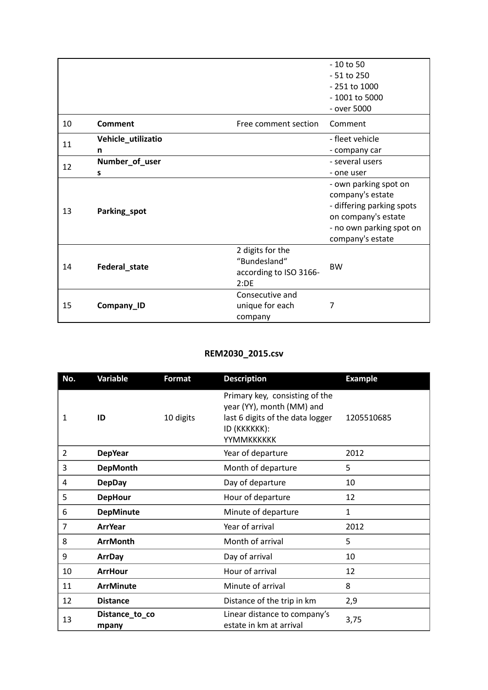|                    |                    |                        | $-10$ to 50               |
|--------------------|--------------------|------------------------|---------------------------|
|                    |                    |                        | $-51$ to 250              |
|                    |                    |                        | - 251 to 1000             |
|                    |                    |                        | - 1001 to 5000            |
|                    |                    |                        | - over 5000               |
| 10                 | Comment            | Free comment section   | Comment                   |
| 11                 | Vehicle_utilizatio |                        | - fleet vehicle           |
|                    | n                  |                        | - company car             |
| 12                 | Number_of_user     |                        | - several users           |
|                    | S                  |                        | - one user                |
|                    |                    |                        | - own parking spot on     |
| 13<br>Parking_spot |                    |                        | company's estate          |
|                    |                    |                        | - differing parking spots |
|                    | Federal_state      |                        | on company's estate       |
|                    |                    |                        | - no own parking spot on  |
|                    |                    |                        | company's estate          |
|                    |                    | 2 digits for the       |                           |
| 14                 |                    | "Bundesland"           | <b>BW</b>                 |
|                    |                    | according to ISO 3166- |                           |
|                    |                    | 2:DE                   |                           |
| 15                 | Company_ID         | Consecutive and        |                           |
|                    |                    | unique for each        | 7                         |
|                    |                    | company                |                           |

## **REM2030\_2015.csv**

| No.            | <b>Variable</b>         | <b>Format</b> | <b>Description</b>                                                                                                            | <b>Example</b> |
|----------------|-------------------------|---------------|-------------------------------------------------------------------------------------------------------------------------------|----------------|
| 1              | ID                      | 10 digits     | Primary key, consisting of the<br>year (YY), month (MM) and<br>last 6 digits of the data logger<br>ID (KKKKKK):<br>YYMMKKKKKK | 1205510685     |
| $\overline{2}$ | <b>DepYear</b>          |               | Year of departure                                                                                                             | 2012           |
| 3              | <b>DepMonth</b>         |               | Month of departure                                                                                                            | 5              |
| 4              | <b>DepDay</b>           |               | Day of departure                                                                                                              | 10             |
| 5              | <b>DepHour</b>          |               | Hour of departure                                                                                                             | 12             |
| 6              | <b>DepMinute</b>        |               | Minute of departure                                                                                                           | $\mathbf{1}$   |
| 7              | <b>ArrYear</b>          |               | Year of arrival                                                                                                               | 2012           |
| 8              | <b>ArrMonth</b>         |               | Month of arrival                                                                                                              | 5              |
| 9              | <b>ArrDay</b>           |               | Day of arrival                                                                                                                | 10             |
| 10             | <b>ArrHour</b>          |               | Hour of arrival                                                                                                               | 12             |
| 11             | <b>ArrMinute</b>        |               | Minute of arrival                                                                                                             | 8              |
| 12             | <b>Distance</b>         |               | Distance of the trip in km                                                                                                    | 2,9            |
| 13             | Distance_to_co<br>mpany |               | Linear distance to company's<br>estate in km at arrival                                                                       | 3,75           |